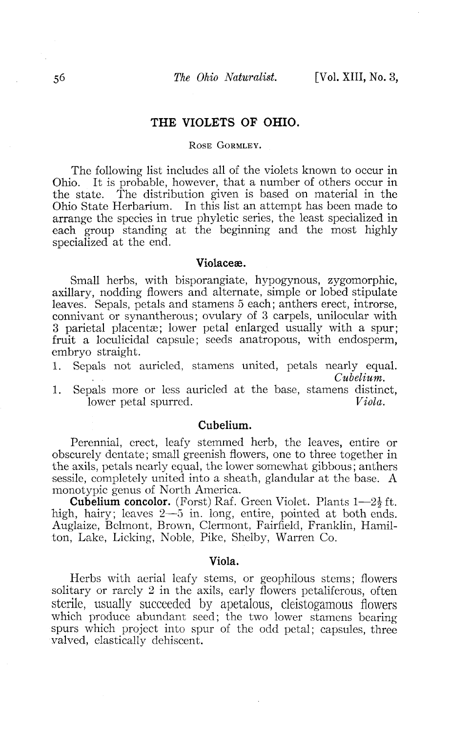# **THE VIOLETS OF OHIO.**

### ROSE GORMLEY.

The following list includes all of the violets known to occur in Ohio. It is probable, however, that a number of others occur in the state. The distribution given is based on material in the Ohio State Herbarium. In this list an attempt has been made to arrange the species in true phyletic series, the least specialized in each group standing at the beginning and the most highly specialized at the end.

### **Violaceae.**

Small herbs, with bisporangiate, hypogynous, zygomorphic, axillary, nodding flowers and alternate, simple or lobed stipulate leaves. Sepals, petals and stamens 5 each; anthers erect, introrse, connivant or synantherous; ovulary of 3 carpels, unilocular with 3 parietal placentas; lower petal enlarged usually with a spur; fruit a loculicidal capsule; seeds anatropous, with endosperm, embryo straight.

- 1. Sepals not auricled, stamens united, petals nearly equal. *Cubelium.*
- 1. Sepals more or less auricled at the base, stamens distinct,  $\frac{1}{\text{1}}$ lower petal spurred.

### **Cubelium.**

Perennial, erect, leafy stemmed herb, the leaves, entire or obscurely dentate; small greenish flowers, one to three together in the axils, petals nearly equal, the lower somewhat gibbous; anthers sessile, completely united into a sheath, glandular at the base. A monotypic genus of North America.

**Cubelium concolor.** (Forst) Raf. Green Violet. Plants 1—*2\* ft. high, hairy; leaves  $2-5$  in. long, entire, pointed at both ends. Auglaize, Belmont, Brown, Clermont, Fairfield, Franklin, Hamilton, Lake, Licking, Noble, Pike, Shelby, Warren Co.

### **Viola.**

Herbs with aerial leafy stems, or geophilous stems; flowers solitary or rarely 2 in the axils, early flowers petaliferous, often sterile, usually succeeded by apetalous, cleistogamous flowers which produce abundant seed; the two lower stamens bearing spurs which project into spur of the odd petal; capsules, three valved, elastically dehiscent.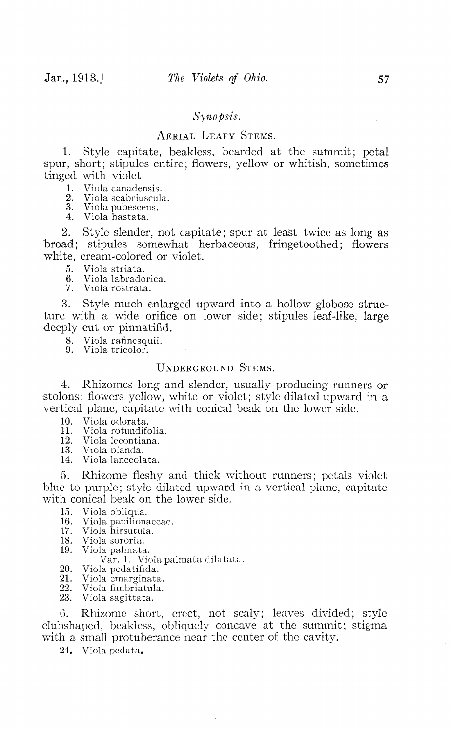## *Synopsis.*

# AERIAL LEAFY STEMS.

1. Style capitate, beakless, bearded at the sutnmit; petal spur, short; stipules entire; flowers, yellow or whitish, sometimes tinged with violet.

1. Viola canadensis.

.2. Viola scabriuscula.

3. Viola pubescens.

4. Viola hastata.

2. Style slender, not capitate; spur at least twice as long as broad; stipules somewhat herbaceous, fringetoothed; flowers white, cream-colored or violet.<br>5. Viola striata.

- 5. Viola striata.<br>6. Viola labrado
- 6. Viola labradorica.
- Viola rostrata.

3. Style much enlarged upward into a hollow globose structure with a wide orifice on lower side; stipules leaf-like, large deeply cut or pinnatifid.

8. Viola rafinesquii.

9. Viola tricolor.

# UNDERGROUND STEMS.

4. Rhizomes long and slender, usually producing runners or stolons; flowers yellow, white or violet; style dilated upward in a vertical plane, capitate with conical beak on the lower side.

- 10. Viola odorata.<br>11. Viola rotundife
- 11. Viola rotundifolia.<br>12. Viola lecontiana
- 12. Viola lecontiana.<br>13. Viola blanda
- 13. Viola blanda.<br>14. Viola lanceola
- Viola lanceolata.

5. Rhizome fleshy and thick without runners; petals violet blue to purple; style dilated upward in a vertical plane, capitate with conical beak on the lower side.

- 15. Viola obliqua.
- Viola papilionaceae.
- 17. Viola hirsutula.
- 18. Viola sororia.
- 19. Viola palmata.

Var. 1. Viola palmata dilatata.

- 20. Viola pcdatifida.
- 21. Viola emarginata.
- 22. Viola fimbriatula.<br>23. Viola sagittata.
- Viola sagittata.

6. Rhizome short, erect, not scaly; leaves divided; style 'dubshaped, beakless, obliquely concave at the summit; stigma with a small protuberance near the center of the cavity.

24. Viola pedata.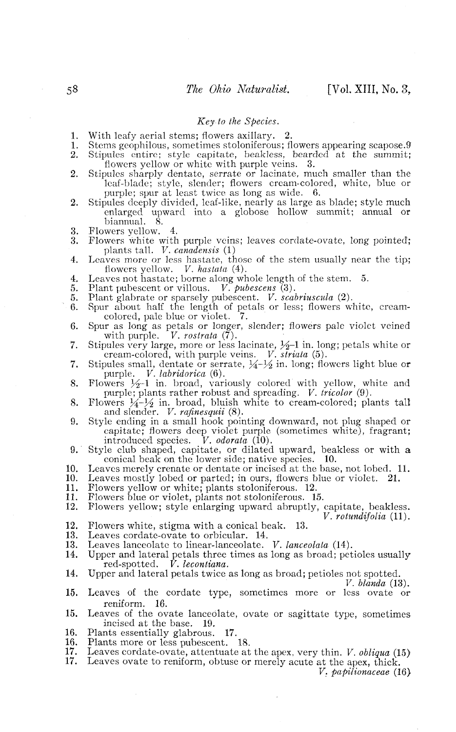#### *Key to the Species.*

- 
- 1. With leafy aerial stems; flowers axillary. 2.<br>1. Stems geonhilous, sometimes stoloniferous; fl 1. Stems geophilous, sometimes stoloniferous; flowers appearing scapose.9<br>2. Stipules, entire: style capitate, beakless, bearded at the summit:
- Stipules entire; style capitate, beakless, bearded at the summit; flowers yellow or white with purple veins. 3.
- 2. Stipules sharply dentate, serrate or lacinate, much smaller than the leaf-blade; style, slender; flowers cream-colored, white, blue or purple; spur at least twice as long as wide. 6.
- 2. Stipules deeply divided, leaf-like, nearly as large as blade; style much enlarged upward into a globose hollow summit; annual or biannual. 8.
- 3. Flowers yellow.  $4.$ <br>3. Flowers white with
- 3. Flowers white with purple veins; leaves cordate-ovate, long pointed; plants tall. *V. canadensis* (1)
- 4. Leaves more or less hastate, those of the stem usually near the tip; flowers yellow. *V. hastata* (4).
- 4. Leaves yellow.  $\ldots$  has the stem. 5.<br>4. Leaves not has take it borne along whole length of the stem. 5.<br>5. Plant pubescent or villous. *V. pubescens* (3).
- 5. Plant pubescent or villous. *V. pubescens* (3).
- 5. Plant glabrate or sparsely pubescent. *V. scabriuscula* (2).
- 6. Spur about half the length of petals or less; flowers white, cream-colored, pale blue or violet. 7.
- 6. Spur as long as petals or longer, slender; flowers pale violet veined with purple. V. rostrata  $(\tilde{7})$ .
- 7. Stipules very large, more or less lacinate,  $\frac{1}{2}$ -l in. long; petals white or cream-colored, with purple veins. *V. striata* (5).
- 7. Stipules small, dentate or serrate,  $\frac{1}{4}$ *-* $\frac{1}{2}$  in. long; flowers light blue or purple. *V. labridorica* (6).
- 8. Flowers  $\frac{1}{2}$ -l in. broad, variously colored with yellow, white and purple; plants rather robust and spreading. *V. tricolor* (9).
- 8. Flowers  $\frac{1}{4}$ /<sub>2</sub> in. broad, bluish white to cream-colored; plants tall and slender. *V. rafinesquii* (8).
- 9. Style ending in a small hook pointing downward, not plug shaped or capitate; flowers deep violet purple (sometimes white), fragrant; introduced species. *V. odorata* (10).
- 9. Style club shaped, capitate, or dilated upward, beakless or with a conical beak on the lower side: native species.  $10$ . conical beak on the lower side; native species.
- 10. Leaves merely crenate or dentate or incised at the base, not lobed. 11.<br>10. Leaves mostly lobed or parted: in ours, flowers blue or violet. 21.
- 10. Leaves mostly lobed or parted; in ours, flowers blue or violet. 21.<br>11. Flowers vellow or white: plants stoloniferous. 12.
- 11. Flowers yellow or white; plants stoloniferous. 12.<br>11. Flowers blue or violet, plants not stoloniferous. 15.
- 
- 12. Flowers yellow; style enlarging upward abruptly, capitate, beakless. *V. rotundifolia* (11).
- 12. Flowers white, stigma with a conical beak. 13.<br>13. Leaves cordate-ovate to orbicular. 14.
- 13. Leaves cordate-ovate to orbicular. 14.<br>13. Leaves lanceolate to linear-lanceolate.
- 13. Leaves lanceolate to linear-lanceolate. *V. lanceolata* (14).
- Upper and lateral petals three times as long as broad; petioles usually red-spotted.  $\dot{V}$ , lecontiana.  $\bar{V}$ . lecontiana.
- 14. Upper and lateral petals twice as long as broad; petioles not spotted.

*V. blanda* (13).

- 15. Leaves of the cordate type, sometimes more or less ovate or reniform. 16.
- 15. Leaves of the ovate lanceolate, ovate or sagittate type, sometimes incised at the base. 19.
- 16. Plants essentially glabrous. 17.<br>16. Plants more or less pubescent.
- 16. Plants more or less pubescent. 18.<br>17. Leaves cordate-ovate, attentuate at
- 17. Leaves cordate-ovate, attentuate at the apex, very thin. *V. obliqua* (15)
- Leaves ovate to reniform, obtuse or merely acute at the apex, thick.

*V. papilionaceae* (16)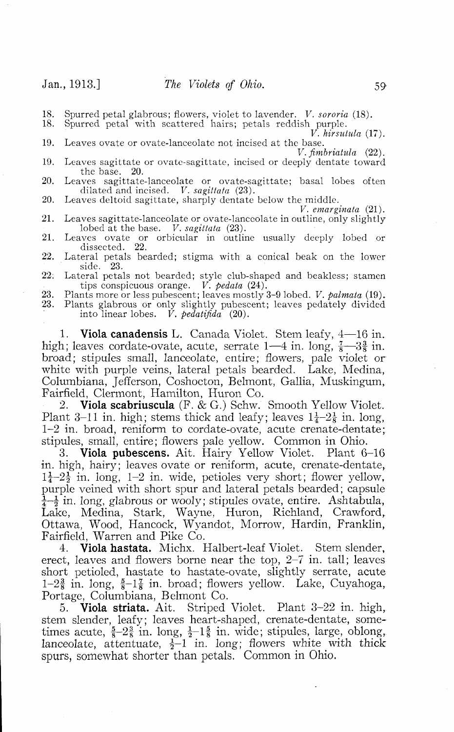18. Spurred petal glabrous; flowers, violet to lavender. *V. sororia* (18).

Spurred petal with scattered hairs; petals reddish purple.

*V. hirsntula* (17). 19. Leaves ovate or ovate-lanceolate not incised at the base. *V.fimbriahila* (22).

- 19. Leaves sagittate or ovate-sagittate, incised or deeply dentate toward the base. 20.
- 20. Leaves sagittate-lanceolate or ovate-sagittate; basal lobes often dilated and incised. *V. sagittata* (23). 20. Leaves deltoid sagittate, sharply dentate below the middle.
- 
- *V. emarginata* (21). 21. Leaves sagittate-lanceolate or ovate-lanceolate in outline, only slightly lobed at the base. *V. sagittata* (23).
- 21. Leaves ovate or orbicular in outline usually deeply lobed or dissected. 22.
- 22. Lateral petals bearded; stigma with a conical beak on the lower side. 23.
- 22. Lateral petals not bearded; style club-shaped and beakless; stamen tips conspicuous orange. *V. pedata* (24).
- 23. Plants more or less pubescent; leaves mostly 3-9 lobed. *V. palmata* (19).
- 23. Plants glabrous or only slightly pubescent; leaves pedately divided into linear lobes. *V. pedatiftda* (20).

**1. Viola canadensis** L. Canada Violet. Stem leafy, 4—16 in. high; leaves cordate-ovate, acute, serrate  $1-4$  in. long,  $\frac{7}{8}-3\frac{3}{8}$  in. broad; stipules small, lanceolate, entire; flowers, pale violet or white with purple veins, lateral petals bearded. Lake, Medina, Columbiana, Jefferson, Coshocton, Belmont, Gallia, Muskingum, Fairfield, Clermont, Hamilton, Huron Co.

2. **Viola scabriuscula** (F. & G.) Schw. Smooth Yellow Violet. Plant 3-11 in. high; stems thick and leafy; leaves  $1\frac{1}{4}-2\frac{1}{8}$  in. long, 1-2 in. broad, reniform to cordate-ovate, acute crenate-dentate; stipules, small, entire; flowers pale yellow. Common in Ohio.

3. **Viola pubescens.** Ait. Hairy Yellow Violet. Plant 6-16 in. high, hairy; leaves ovate or reniform, acute, crenate-dentate,  $1\frac{1}{4}$ - $2\frac{1}{2}$  in. long, 1-2 in. wide, petioles very short; flower yellow, purple veined with short spur and lateral petals bearded; capsule  $\frac{1}{4}$  $\frac{1}{2}$  in. long, glabrous or wooly; stipules ovate, entire. Ashtabula, Lake, Medina, Stark, Wayne, Huron, Richland, Crawford, Ottawa, Wood, Hancock, Wyandot, Morrow, Hardin, Franklin, Fairfield, Warren and Pike Co.

4. **Viola hastata.** Michx. Halbert-leaf Violet. Stem slender, erect, leaves and flowers borne near the top, 2-7 in. tall; leaves short petioled, hastate to hastate-ovate, slightly serrate, acute  $1-2\frac{3}{8}$  in. long,  $\frac{5}{8}-1\frac{7}{8}$  in. broad; flowers yellow. Lake, Cuyahoga, Portage, Columbiana, Belmont Co.

5. **Viola striata.** Ait. Striped Violet. Plant 3-22 in. high, stem slender, leafy; leaves heart-shaped, crenate-dentate, sometimes acute,  $\frac{5}{8}$ - $2\frac{3}{8}$  in. long,  $\frac{1}{2}$ - $1\frac{5}{8}$  in. wide; stipules, large, oblong, lanceolate, attentuate,  $\frac{1}{2}$ -1 in. long; flowers white with thick spurs, somewhat shorter than petals. Common in Ohio.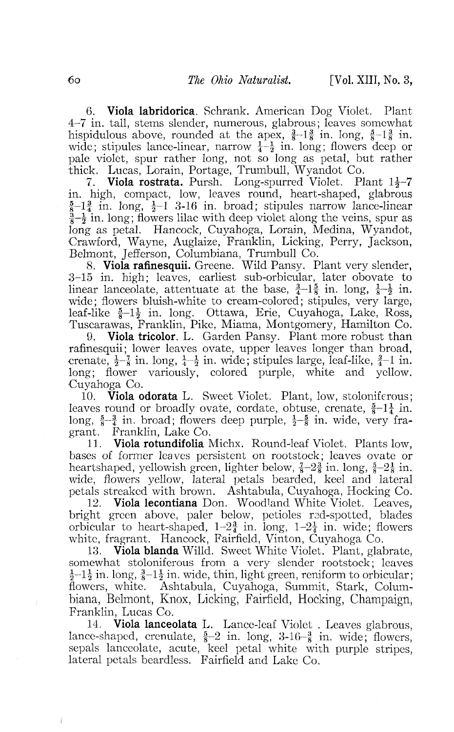**6. Viola labridorica.** Schrank. American Dog Violet. Plant 4-7 in. tall, stems slender, numerous, glabrous; leaves somewhat hispidulous above, rounded at the apex,  $\frac{3}{8}-1\frac{3}{8}$  in. long,  $\frac{5}{8}-1\frac{3}{8}$  in. wide; stipules lance-linear, narrow  $\frac{1}{4}$  =  $\frac{1}{2}$  in. long; flowers deep or pale violet, spur rather long, not so long as petal, but rather thick. Lucas, Lorain, Portage, Trumbull, Wyandot Co.

7. **Viola rostrata.** Pursh. Long-spurred Violet. Plant  $1\frac{1}{2}$ -7 in. high, compact, low, leaves round, heart-shaped, glabrous  $\frac{5}{8}$ -1 $\frac{3}{4}$  in. long,  $\frac{1}{2}$ -1 3-16 in. broad; stipules narrow lance-linear  $\frac{3}{8}$ - $\frac{1}{2}$  in. long; flowers lilac with deep violet along the veins, spur as long as petal. Hancock, Cuyahoga, Lorain, Medina, Wyandot, Crawford, Wayne, Auglaize, Franklin, Licking, Perry, Jackson, Belmont, Jefferson, Columbiana, Trumbull Co.

8. **Viola rafinesquii.** Greene. Wild Pansy. Plant very slender, 3-15 in. high; leaves, earliest sub-orbicular, later obovate to linear lanceolate, attentuate at the base,  $\frac{3}{4}-1\frac{5}{8}$  in. long,  $\frac{1}{8}-\frac{1}{2}$  in. wide; flowers bluish-white to cream-colored; stipules, very large, leaf-like  $\frac{5}{8}$ -l<sub>2</sub> in. long. Ottawa, Erie, Cuyahoga, Lake, Ross, Tuscarawas, Franklin, Pike, Miama, Montgomery, Hamilton Co.<br>9. Viola tricolor, L. Garden Pansy. Plant more robust than

9. **Viola tricolor.** L. Garden Pansy. Plant more robust than rafinesquii; lower leaves ovate, upper leaves longer than broad, crenate,  $\frac{1}{2}$  in. long,  $\frac{1}{4}$  in. wide; stipules large, leaf-like,  $\frac{3}{4}$ –1 in. long: flower variously, colored purple, white and yellow. Cuyahoga Co.

10. **Viola odorata** L. Sweet Violet. Plant, low, stoloniferous; leaves round or broadly ovate, cordate, obtuse, crenate,  $\frac{5}{8}-1\frac{1}{4}$  in. long,  $\frac{5}{8}-\frac{3}{4}$  in. broad; flowers deep purple,  $\frac{1}{2}-\frac{5}{8}$  in. wide, very fragrant. Franklin, Lake Co.

11. **Viola rotundifolia** Michx. Round-leaf Violet. Plants low, bases of former leaves persistent on rootstock; leaves ovate or heartshaped, yellowish green, lighter below,  $\frac{7}{8}-2\frac{3}{8}$  in. long,  $\frac{5}{8}-2\frac{1}{8}$  in. wide, flowers yellow, lateral petals bearded, keel and lateral petals streaked with brown. Ashtabula, Cuyahoga, Hocking Co.

12. **Viola lecontiana** Don. Woodland White Violet. Leaves, bright green above, paler below, petioles rad-spotted, blades orbicular to heart-shaped,  $1-2\frac{3}{4}$  in. long,  $1-2\frac{1}{4}$  in. wide; flowers white, fragrant. Hancock, Fairfield, Vinton, Cuyahoga Co.

13. **Viola blanda** Willd. Sweet White Violet, Plant, glabrate, somewhat stoloniferous from a very slender rootstock; leaves  $\frac{1}{2}$ -1 $\frac{1}{2}$  in. long,  $\frac{3}{8}$ -1 $\frac{1}{2}$  in. wide, thin, light green, reniform to orbicular; flowers, white. Ashtabula, Cuyahoga, Summit, Stark, Columbiana, Belmont, Knox, Licking, Fairfield, Hocking, Champaign, Franklin, Lucas Co.

14. **Viola lanceolata** L. Lance-leaf Violet . Leaves glabrous, lance-shaped, crenulate,  $\frac{5}{8}-2$  in. long,  $3-16-\frac{3}{8}$  in. wide; flowers, sepals lanceolate, acute, keel petal white with purple stripes, lateral petals beardless. Fairfield and Lake Co.